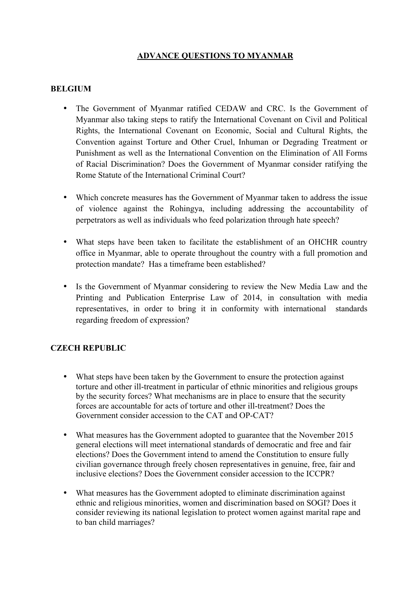# **ADVANCE QUESTIONS TO MYANMAR**

#### **BELGIUM**

- The Government of Myanmar ratified CEDAW and CRC. Is the Government of Myanmar also taking steps to ratify the International Covenant on Civil and Political Rights, the International Covenant on Economic, Social and Cultural Rights, the Convention against Torture and Other Cruel, Inhuman or Degrading Treatment or Punishment as well as the International Convention on the Elimination of All Forms of Racial Discrimination? Does the Government of Myanmar consider ratifying the Rome Statute of the International Criminal Court?
- Which concrete measures has the Government of Myanmar taken to address the issue of violence against the Rohingya, including addressing the accountability of perpetrators as well as individuals who feed polarization through hate speech?
- What steps have been taken to facilitate the establishment of an OHCHR country office in Myanmar, able to operate throughout the country with a full promotion and protection mandate? Has a timeframe been established?
- Is the Government of Myanmar considering to review the New Media Law and the Printing and Publication Enterprise Law of 2014, in consultation with media representatives, in order to bring it in conformity with international standards regarding freedom of expression?

## **CZECH REPUBLIC**

- What steps have been taken by the Government to ensure the protection against torture and other ill-treatment in particular of ethnic minorities and religious groups by the security forces? What mechanisms are in place to ensure that the security forces are accountable for acts of torture and other ill-treatment? Does the Government consider accession to the CAT and OP-CAT?
- What measures has the Government adopted to guarantee that the November 2015 general elections will meet international standards of democratic and free and fair elections? Does the Government intend to amend the Constitution to ensure fully civilian governance through freely chosen representatives in genuine, free, fair and inclusive elections? Does the Government consider accession to the ICCPR?
- What measures has the Government adopted to eliminate discrimination against ethnic and religious minorities, women and discrimination based on SOGI? Does it consider reviewing its national legislation to protect women against marital rape and to ban child marriages?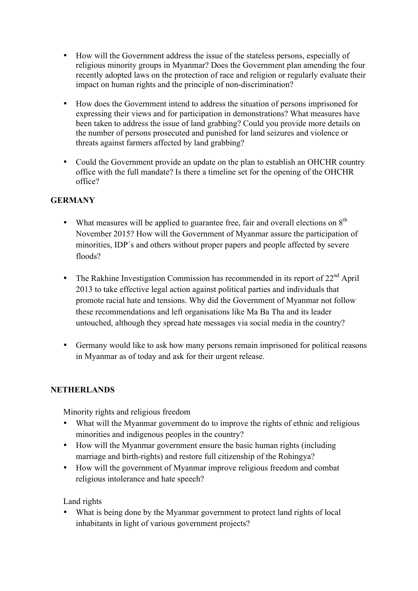- How will the Government address the issue of the stateless persons, especially of religious minority groups in Myanmar? Does the Government plan amending the four recently adopted laws on the protection of race and religion or regularly evaluate their impact on human rights and the principle of non-discrimination?
- How does the Government intend to address the situation of persons imprisoned for expressing their views and for participation in demonstrations? What measures have been taken to address the issue of land grabbing? Could you provide more details on the number of persons prosecuted and punished for land seizures and violence or threats against farmers affected by land grabbing?
- Could the Government provide an update on the plan to establish an OHCHR country office with the full mandate? Is there a timeline set for the opening of the OHCHR office?

# **GERMANY**

- What measures will be applied to guarantee free, fair and overall elections on  $8<sup>th</sup>$ November 2015? How will the Government of Myanmar assure the participation of minorities, IDP´s and others without proper papers and people affected by severe floods?
- The Rakhine Investigation Commission has recommended in its report of  $22<sup>nd</sup>$  April 2013 to take effective legal action against political parties and individuals that promote racial hate and tensions. Why did the Government of Myanmar not follow these recommendations and left organisations like Ma Ba Tha and its leader untouched, although they spread hate messages via social media in the country?
- Germany would like to ask how many persons remain imprisoned for political reasons in Myanmar as of today and ask for their urgent release.

#### **NETHERLANDS**

Minority rights and religious freedom

- What will the Myanmar government do to improve the rights of ethnic and religious minorities and indigenous peoples in the country?
- How will the Myanmar government ensure the basic human rights (including marriage and birth-rights) and restore full citizenship of the Rohingya?
- How will the government of Myanmar improve religious freedom and combat religious intolerance and hate speech?

Land rights

• What is being done by the Myanmar government to protect land rights of local inhabitants in light of various government projects?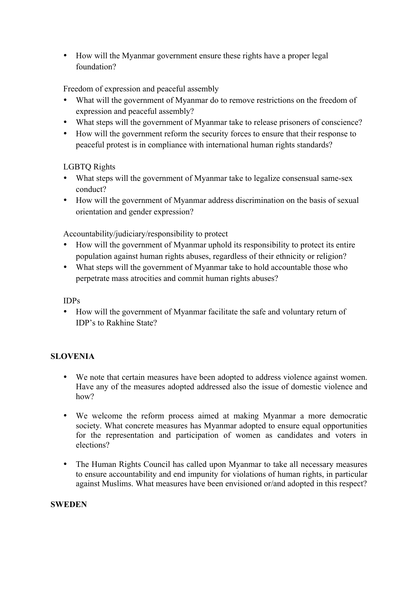• How will the Myanmar government ensure these rights have a proper legal foundation?

Freedom of expression and peaceful assembly

- What will the government of Myanmar do to remove restrictions on the freedom of expression and peaceful assembly?
- What steps will the government of Myanmar take to release prisoners of conscience?
- How will the government reform the security forces to ensure that their response to peaceful protest is in compliance with international human rights standards?

# LGBTQ Rights

- What steps will the government of Myanmar take to legalize consensual same-sex conduct?
- How will the government of Myanmar address discrimination on the basis of sexual orientation and gender expression?

Accountability/judiciary/responsibility to protect

- How will the government of Myanmar uphold its responsibility to protect its entire population against human rights abuses, regardless of their ethnicity or religion?
- What steps will the government of Myanmar take to hold accountable those who perpetrate mass atrocities and commit human rights abuses?

## IDPs

• How will the government of Myanmar facilitate the safe and voluntary return of IDP's to Rakhine State?

## **SLOVENIA**

- We note that certain measures have been adopted to address violence against women. Have any of the measures adopted addressed also the issue of domestic violence and how?
- We welcome the reform process aimed at making Myanmar a more democratic society. What concrete measures has Myanmar adopted to ensure equal opportunities for the representation and participation of women as candidates and voters in elections?
- The Human Rights Council has called upon Myanmar to take all necessary measures to ensure accountability and end impunity for violations of human rights, in particular against Muslims. What measures have been envisioned or/and adopted in this respect?

#### **SWEDEN**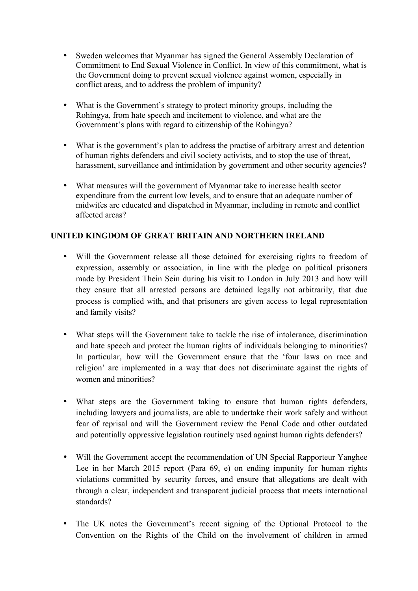- Sweden welcomes that Myanmar has signed the General Assembly Declaration of Commitment to End Sexual Violence in Conflict. In view of this commitment, what is the Government doing to prevent sexual violence against women, especially in conflict areas, and to address the problem of impunity?
- What is the Government's strategy to protect minority groups, including the Rohingya, from hate speech and incitement to violence, and what are the Government's plans with regard to citizenship of the Rohingya?
- What is the government's plan to address the practise of arbitrary arrest and detention of human rights defenders and civil society activists, and to stop the use of threat, harassment, surveillance and intimidation by government and other security agencies?
- What measures will the government of Myanmar take to increase health sector expenditure from the current low levels, and to ensure that an adequate number of midwifes are educated and dispatched in Myanmar, including in remote and conflict affected areas?

## **UNITED KINGDOM OF GREAT BRITAIN AND NORTHERN IRELAND**

- Will the Government release all those detained for exercising rights to freedom of expression, assembly or association, in line with the pledge on political prisoners made by President Thein Sein during his visit to London in July 2013 and how will they ensure that all arrested persons are detained legally not arbitrarily, that due process is complied with, and that prisoners are given access to legal representation and family visits?
- What steps will the Government take to tackle the rise of intolerance, discrimination and hate speech and protect the human rights of individuals belonging to minorities? In particular, how will the Government ensure that the 'four laws on race and religion' are implemented in a way that does not discriminate against the rights of women and minorities?
- What steps are the Government taking to ensure that human rights defenders, including lawyers and journalists, are able to undertake their work safely and without fear of reprisal and will the Government review the Penal Code and other outdated and potentially oppressive legislation routinely used against human rights defenders?
- Will the Government accept the recommendation of UN Special Rapporteur Yanghee Lee in her March 2015 report (Para 69, e) on ending impunity for human rights violations committed by security forces, and ensure that allegations are dealt with through a clear, independent and transparent judicial process that meets international standards?
- The UK notes the Government's recent signing of the Optional Protocol to the Convention on the Rights of the Child on the involvement of children in armed